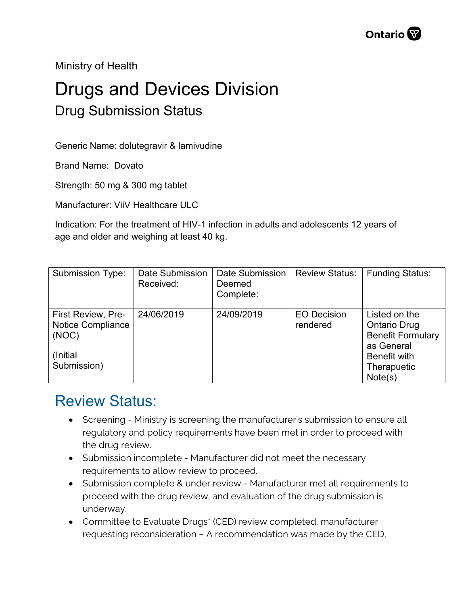Ministry of Health

## Drugs and Devices Division Drug Submission Status

Generic Name: dolutegravir & lamivudine

Brand Name: Dovato

Strength: 50 mg & 300 mg tablet

Manufacturer: ViiV Healthcare ULC

Indication: For the treatment of HIV-1 infection in adults and adolescents 12 years of age and older and weighing at least 40 kg.

| <b>Submission Type:</b>                                                      | <b>Date Submission</b><br>Received: | Date Submission<br>Deemed<br>Complete: | <b>Review Status:</b>          | <b>Funding Status:</b>                                                                                                          |
|------------------------------------------------------------------------------|-------------------------------------|----------------------------------------|--------------------------------|---------------------------------------------------------------------------------------------------------------------------------|
| First Review, Pre-<br>Notice Compliance<br>(NOC)<br>(Initial)<br>Submission) | 24/06/2019                          | 24/09/2019                             | <b>EO Decision</b><br>rendered | Listed on the<br><b>Ontario Drug</b><br><b>Benefit Formulary</b><br>as General<br><b>Benefit with</b><br>Therapuetic<br>Note(s) |

## Review Status:

- Screening Ministry is screening the manufacturer's submission to ensure all regulatory and policy requirements have been met in order to proceed with the drug review.
- Submission incomplete Manufacturer did not meet the necessary requirements to allow review to proceed.
- Submission complete & under review Manufacturer met all requirements to proceed with the drug review, and evaluation of the drug submission is underway.
- Committee to Evaluate Drugs\* (CED) review completed, manufacturer requesting reconsideration – A recommendation was made by the CED,